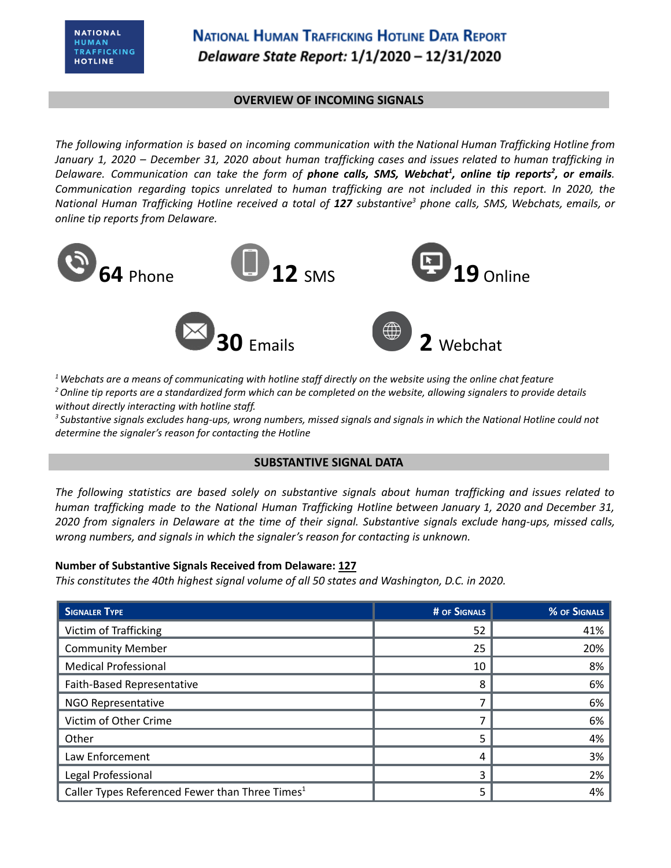## **NATIONAL HUMAN TRAFFICKING HOTLINE DATA REPORT** Delaware State Report: 1/1/2020 - 12/31/2020

#### **OVERVIEW OF INCOMING SIGNALS**

*The following information is based on incoming communication with the National Human Trafficking Hotline from* January 1, 2020 - December 31, 2020 about human trafficking cases and issues related to human trafficking in Delaware. Communication can take the form of **phone calls, SMS, Webchat<sup>1</sup>, online tip reports<sup>2</sup>, or emails.** *Communication regarding topics unrelated to human trafficking are not included in this report. In 2020, the* National Human Trafficking Hotline received a total of 127 substantive<sup>3</sup> phone calls, SMS, Webchats, emails, or *online tip reports from Delaware.*



 $1$  Webchats are a means of communicating with hotline staff directly on the website using the online chat feature <sup>2</sup> Online tip reports are a standardized form which can be completed on the website, allowing signalers to provide details *without directly interacting with hotline staff.*

<sup>3</sup> Substantive signals excludes hang-ups, wrong numbers, missed signals and signals in which the National Hotline could not *determine the signaler's reason for contacting the Hotline*

### **SUBSTANTIVE SIGNAL DATA**

*The following statistics are based solely on substantive signals about human trafficking and issues related to human trafficking made to the National Human Trafficking Hotline between January 1, 2020 and December 31,* 2020 from signalers in Delaware at the time of their signal. Substantive signals exclude hang-ups, missed calls, *wrong numbers, and signals in which the signaler's reason for contacting is unknown.*

#### **Number of Substantive Signals Received from Delaware: 127**

*This constitutes the 40th highest signal volume of all 50 states and Washington, D.C. in 2020.*

| <b>SIGNALER TYPE</b>                                        | # OF SIGNALS | % OF SIGNALS |
|-------------------------------------------------------------|--------------|--------------|
| Victim of Trafficking                                       | 52           | 41%          |
| <b>Community Member</b>                                     | 25           | 20%          |
| <b>Medical Professional</b>                                 | 10           | 8%           |
| Faith-Based Representative                                  | 8            | 6%           |
| NGO Representative                                          |              | 6%           |
| Victim of Other Crime                                       |              | 6%           |
| Other                                                       | 5            | 4%           |
| Law Enforcement                                             | 4            | 3%           |
| Legal Professional                                          | ς            | 2%           |
| Caller Types Referenced Fewer than Three Times <sup>1</sup> | 5            | 4%           |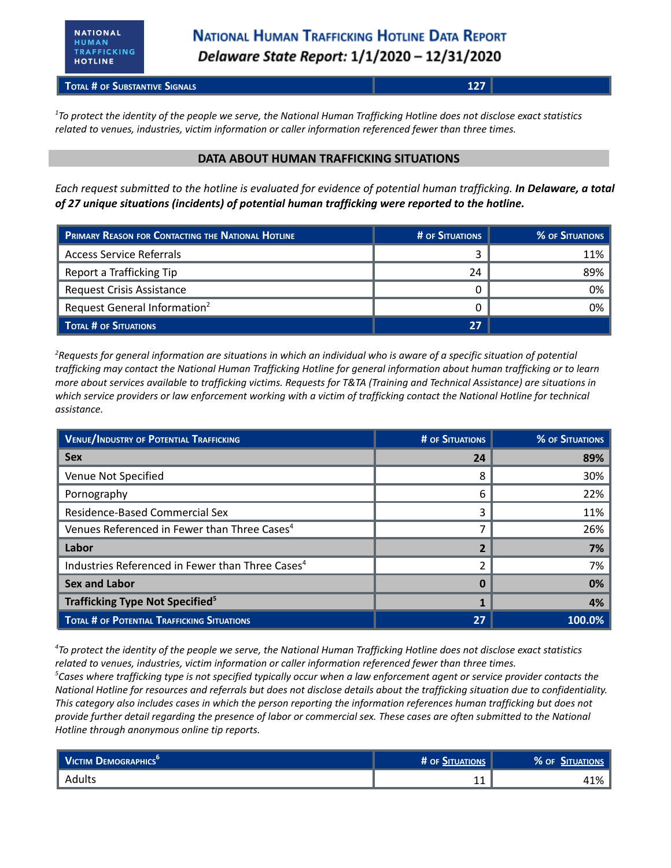**TOTAL # OF SUBSTANTIVE SIGNALS 127**

 $1$ To protect the identity of the people we serve, the National Human Trafficking Hotline does not disclose exact statistics *related to venues, industries, victim information or caller information referenced fewer than three times.*

#### **DATA ABOUT HUMAN TRAFFICKING SITUATIONS**

Each request submitted to the hotline is evaluated for evidence of potential human trafficking. In Delaware, a total *of 27 unique situations (incidents) of potential human trafficking were reported to the hotline.*

| <b>PRIMARY REASON FOR CONTACTING THE NATIONAL HOTLINE</b> | <b># OF SITUATIONS</b> | % OF SITUATIONS |
|-----------------------------------------------------------|------------------------|-----------------|
| <b>Access Service Referrals</b>                           |                        | 11%             |
| Report a Trafficking Tip                                  | 24                     | 89%             |
| Request Crisis Assistance                                 |                        | 0%              |
| Request General Information <sup>2</sup>                  |                        | 0%              |
| TOTAL # OF SITUATIONS                                     | 27                     |                 |

 ${}^{2}$ Requests for general information are situations in which an individual who is aware of a specific situation of potential trafficking may contact the National Human Trafficking Hotline for general information about human trafficking or to learn more about services available to trafficking victims. Requests for T&TA (Training and Technical Assistance) are situations in which service providers or law enforcement working with a victim of trafficking contact the National Hotline for technical *assistance.*

| <b>VENUE/INDUSTRY OF POTENTIAL TRAFFICKING</b>               | # OF SITUATIONS | <b>% OF SITUATIONS</b> |
|--------------------------------------------------------------|-----------------|------------------------|
| <b>Sex</b>                                                   | 24              | 89%                    |
| Venue Not Specified                                          | 8               | 30%                    |
| Pornography                                                  | 6               | 22%                    |
| Residence-Based Commercial Sex                               | 3               | 11%                    |
| Venues Referenced in Fewer than Three Cases <sup>4</sup>     |                 | 26%                    |
| Labor                                                        |                 | 7%                     |
| Industries Referenced in Fewer than Three Cases <sup>4</sup> |                 | 7%                     |
| <b>Sex and Labor</b>                                         |                 | 0%                     |
| Trafficking Type Not Specified <sup>5</sup>                  |                 | 4%                     |
| <b>TOTAL # OF POTENTIAL TRAFFICKING SITUATIONS</b>           | 27              | 100.0%                 |

<sup>4</sup>To protect the identity of the people we serve, the National Human Trafficking Hotline does not disclose exact statistics *related to venues, industries, victim information or caller information referenced fewer than three times.*  ${}^5$ Cases where trafficking type is not specified typically occur when a law enforcement agent or service provider contacts the National Hotline for resources and referrals but does not disclose details about the trafficking situation due to confidentiality. This category also includes cases in which the person reporting the information references human trafficking but does not provide further detail regarding the presence of labor or commercial sex. These cases are often submitted to the National *Hotline through anonymous online tip reports.*

| VICTIM DEMOGRAPHICS <sup>6</sup> | # OF SITUATIONS | % OF SITUATIONS |
|----------------------------------|-----------------|-----------------|
| Adults                           |                 | 10/<br>" L70 ،  |